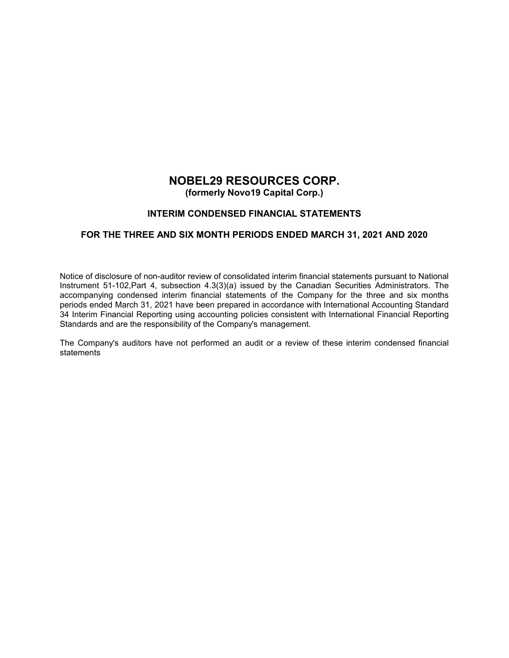# **NOBEL29 RESOURCES CORP. (formerly Novo19 Capital Corp.)**

## **INTERIM CONDENSED FINANCIAL STATEMENTS**

## **FOR THE THREE AND SIX MONTH PERIODS ENDED MARCH 31, 2021 AND 2020**

Notice of disclosure of non-auditor review of consolidated interim financial statements pursuant to National Instrument 51-102,Part 4, subsection 4.3(3)(a) issued by the Canadian Securities Administrators. The accompanying condensed interim financial statements of the Company for the three and six months periods ended March 31, 2021 have been prepared in accordance with International Accounting Standard 34 Interim Financial Reporting using accounting policies consistent with International Financial Reporting Standards and are the responsibility of the Company's management.

The Company's auditors have not performed an audit or a review of these interim condensed financial statements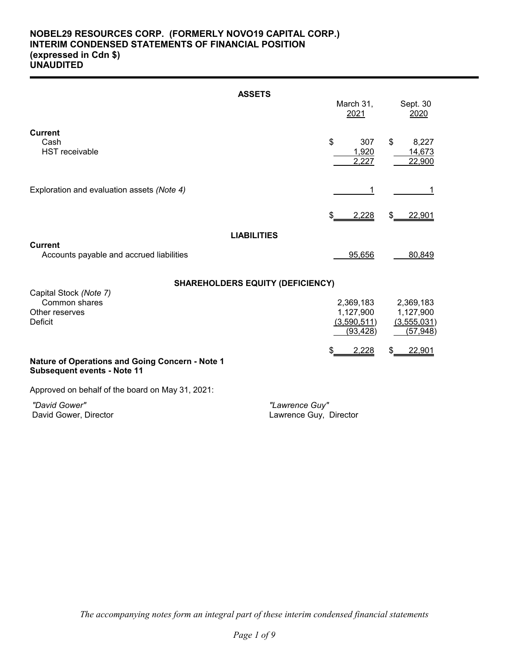## **NOBEL29 RESOURCES CORP. (FORMERLY NOVO19 CAPITAL CORP.) INTERIM CONDENSED STATEMENTS OF FINANCIAL POSITION (expressed in Cdn \$) UNAUDITED**

|                                                                                       | <b>ASSETS</b>                            |                                                    |                                                    |
|---------------------------------------------------------------------------------------|------------------------------------------|----------------------------------------------------|----------------------------------------------------|
|                                                                                       |                                          | March 31,<br>2021                                  | Sept. 30<br>2020                                   |
| <b>Current</b><br>Cash<br><b>HST</b> receivable                                       | \$                                       | 307<br>1,920<br>2,227                              | \$<br>8,227<br>14,673<br>22,900                    |
| Exploration and evaluation assets (Note 4)                                            |                                          | 1                                                  | 1                                                  |
|                                                                                       | \$                                       | 2,228                                              | \$<br>22,901                                       |
|                                                                                       | <b>LIABILITIES</b>                       |                                                    |                                                    |
| <b>Current</b><br>Accounts payable and accrued liabilities                            |                                          | 95,656                                             | 80,849                                             |
|                                                                                       | <b>SHAREHOLDERS EQUITY (DEFICIENCY)</b>  |                                                    |                                                    |
| Capital Stock (Note 7)<br>Common shares<br>Other reserves<br>Deficit                  |                                          | 2,369,183<br>1,127,900<br>(3,590,511)<br>(93, 428) | 2,369,183<br>1,127,900<br>(3,555,031)<br>(57, 948) |
| Nature of Operations and Going Concern - Note 1<br><b>Subsequent events - Note 11</b> | \$                                       | 2,228                                              | 22,901<br>\$                                       |
| Approved on behalf of the board on May 31, 2021:                                      |                                          |                                                    |                                                    |
| "David Gower"<br>David Gower, Director                                                | "Lawrence Guy"<br>Lawrence Guy, Director |                                                    |                                                    |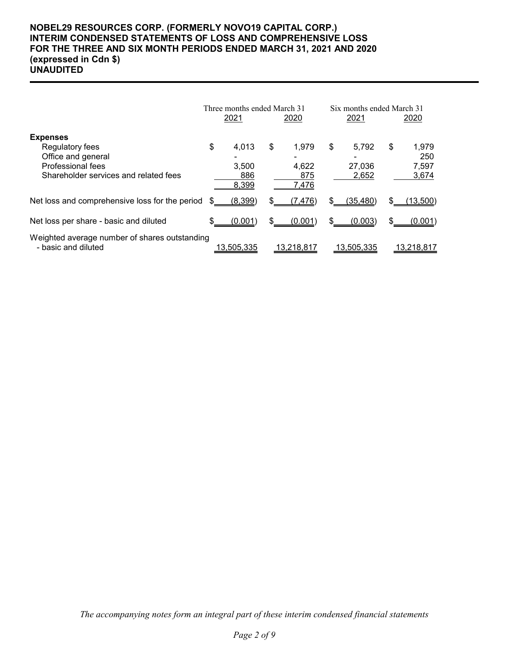## **NOBEL29 RESOURCES CORP. (FORMERLY NOVO19 CAPITAL CORP.) INTERIM CONDENSED STATEMENTS OF LOSS AND COMPREHENSIVE LOSS FOR THE THREE AND SIX MONTH PERIODS ENDED MARCH 31, 2021 AND 2020 (expressed in Cdn \$) UNAUDITED**

|                                                                                                                        | Three months ended March 31<br>2021<br>2020 |                                |     | Six months ended March 31<br>2021 |    | 2020                     |    |                                |
|------------------------------------------------------------------------------------------------------------------------|---------------------------------------------|--------------------------------|-----|-----------------------------------|----|--------------------------|----|--------------------------------|
| <b>Expenses</b><br>Regulatory fees<br>Office and general<br>Professional fees<br>Shareholder services and related fees | \$                                          | 4,013<br>3,500<br>886<br>8,399 | \$  | 1.979<br>4,622<br>875<br>7,476    | \$ | 5,792<br>27,036<br>2,652 | \$ | 1,979<br>250<br>7,597<br>3,674 |
| Net loss and comprehensive loss for the period                                                                         |                                             | (8,399)                        | \$. | (7,476)                           |    | (35, 480)                | \$ | (1 <u>3,500</u> )              |
| Net loss per share - basic and diluted                                                                                 |                                             | (0.001)                        | \$  | (0.001)                           |    | (0.003)                  | \$ | (0.001)                        |
| Weighted average number of shares outstanding<br>- basic and diluted                                                   |                                             | 13,505,335                     |     | 13,218,817                        |    | 13,505,335               |    | 13,218,817                     |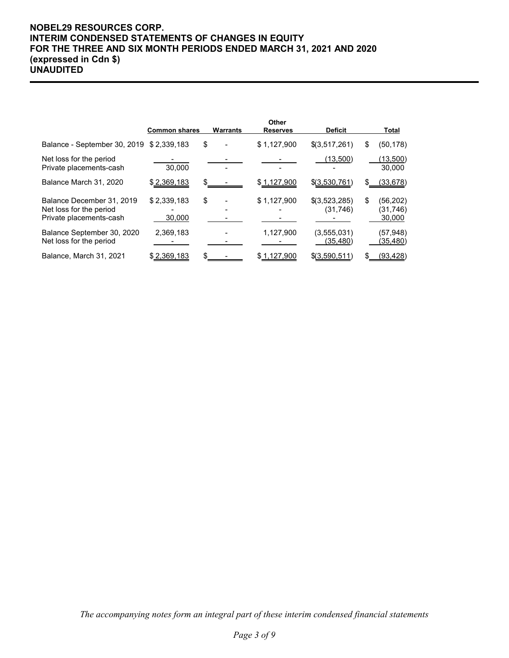## **NOBEL29 RESOURCES CORP. INTERIM CONDENSED STATEMENTS OF CHANGES IN EQUITY FOR THE THREE AND SIX MONTH PERIODS ENDED MARCH 31, 2021 AND 2020 (expressed in Cdn \$) UNAUDITED**

|                                                                                 | <b>Common shares</b>  | Warrants | Other<br><b>Reserves</b> | <b>Deficit</b>             |    | Total                           |
|---------------------------------------------------------------------------------|-----------------------|----------|--------------------------|----------------------------|----|---------------------------------|
| Balance - September 30, 2019 \$ 2,339,183                                       |                       | \$       | \$1,127,900              | \$(3,517,261)              | \$ | (50, 178)                       |
| Net loss for the period<br>Private placements-cash                              | 30,000                |          |                          | (13,500)                   |    | <u>(13,500)</u><br>30,000       |
| Balance March 31, 2020                                                          | \$2,369,183           |          | \$1,127,900              | \$(3,530,761)              | S  | (33, 678)                       |
| Balance December 31, 2019<br>Net loss for the period<br>Private placements-cash | \$2,339,183<br>30,000 | \$       | \$1,127,900              | \$(3,523,285)<br>(31, 746) | \$ | (56, 202)<br>(31,746)<br>30,000 |
| Balance September 30, 2020<br>Net loss for the period                           | 2,369,183             |          | 1,127,900                | (3,555,031)<br>(35,480)    |    | (57, 948)<br>(35,480)           |
| Balance, March 31, 2021                                                         | \$2,369,183           |          | \$1,127,900              | \$(3,590,511)              | S  | (93, 428)                       |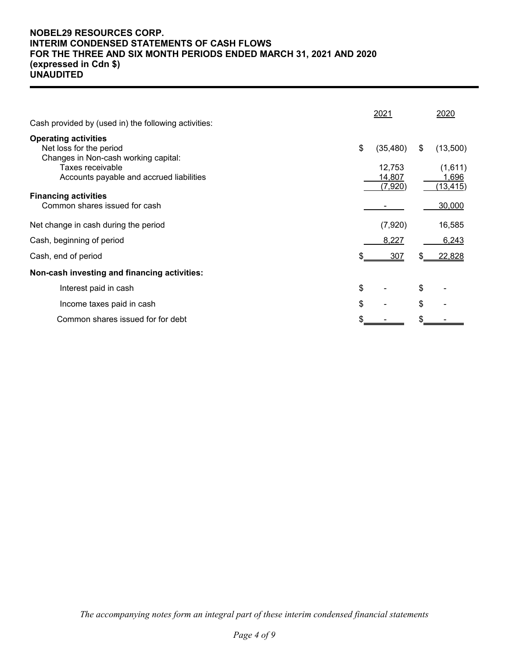## **NOBEL29 RESOURCES CORP. INTERIM CONDENSED STATEMENTS OF CASH FLOWS FOR THE THREE AND SIX MONTH PERIODS ENDED MARCH 31, 2021 AND 2020 (expressed in Cdn \$) UNAUDITED**

| Cash provided by (used in) the following activities:            | 2021            |    | 2020      |
|-----------------------------------------------------------------|-----------------|----|-----------|
| <b>Operating activities</b>                                     |                 |    |           |
| Net loss for the period<br>Changes in Non-cash working capital: | \$<br>(35, 480) | \$ | (13,500)  |
| Taxes receivable                                                | 12,753          |    | (1,611)   |
| Accounts payable and accrued liabilities                        | 14,807          |    | 1,696     |
| <b>Financing activities</b>                                     | (7,920)         |    | (13, 415) |
| Common shares issued for cash                                   |                 |    | 30,000    |
| Net change in cash during the period                            | (7,920)         |    | 16,585    |
| Cash, beginning of period                                       | 8,227           |    | 6,243     |
| Cash, end of period                                             | 307             | S. | 22,828    |
| Non-cash investing and financing activities:                    |                 |    |           |
| Interest paid in cash                                           | \$              | \$ |           |
| Income taxes paid in cash                                       | \$              | \$ |           |
| Common shares issued for for debt                               |                 |    |           |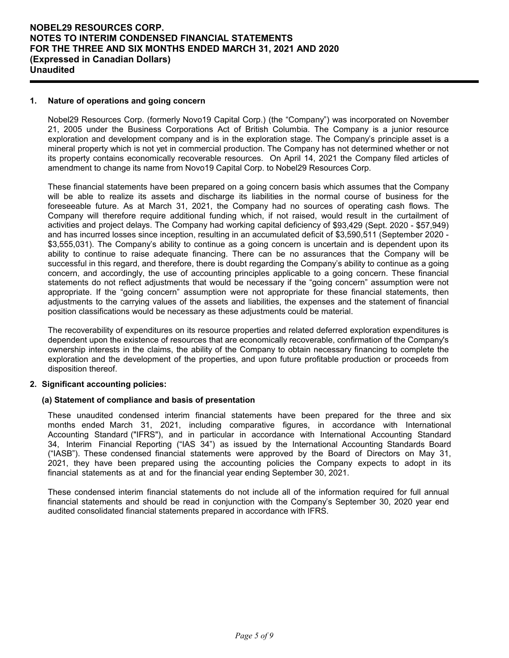## **1. Nature of operations and going concern**

Nobel29 Resources Corp. (formerly Novo19 Capital Corp.) (the "Company") was incorporated on November 21, 2005 under the Business Corporations Act of British Columbia. The Company is a junior resource exploration and development company and is in the exploration stage. The Company's principle asset is a mineral property which is not yet in commercial production. The Company has not determined whether or not its property contains economically recoverable resources. On April 14, 2021 the Company filed articles of amendment to change its name from Novo19 Capital Corp. to Nobel29 Resources Corp.

These financial statements have been prepared on a going concern basis which assumes that the Company will be able to realize its assets and discharge its liabilities in the normal course of business for the foreseeable future. As at March 31, 2021, the Company had no sources of operating cash flows. The Company will therefore require additional funding which, if not raised, would result in the curtailment of activities and project delays. The Company had working capital deficiency of \$93,429 (Sept. 2020 - \$57,949) and has incurred losses since inception, resulting in an accumulated deficit of \$3,590,511 (September 2020 - \$3,555,031). The Company's ability to continue as a going concern is uncertain and is dependent upon its ability to continue to raise adequate financing. There can be no assurances that the Company will be successful in this regard, and therefore, there is doubt regarding the Company's ability to continue as a going concern, and accordingly, the use of accounting principles applicable to a going concern. These financial statements do not reflect adjustments that would be necessary if the "going concern" assumption were not appropriate. If the "going concern" assumption were not appropriate for these financial statements, then adjustments to the carrying values of the assets and liabilities, the expenses and the statement of financial position classifications would be necessary as these adjustments could be material.

The recoverability of expenditures on its resource properties and related deferred exploration expenditures is dependent upon the existence of resources that are economically recoverable, confirmation of the Company's ownership interests in the claims, the ability of the Company to obtain necessary financing to complete the exploration and the development of the properties, and upon future profitable production or proceeds from disposition thereof.

### **2. Significant accounting policies:**

### **(a) Statement of compliance and basis of presentation**

These unaudited condensed interim financial statements have been prepared for the three and six months ended March 31, 2021, including comparative figures, in accordance with International Accounting Standard ("IFRS"), and in particular in accordance with International Accounting Standard 34, Interim Financial Reporting ("IAS 34") as issued by the International Accounting Standards Board ("IASB"). These condensed financial statements were approved by the Board of Directors on May 31, 2021, they have been prepared using the accounting policies the Company expects to adopt in its financial statements as at and for the financial year ending September 30, 2021.

These condensed interim financial statements do not include all of the information required for full annual financial statements and should be read in conjunction with the Company's September 30, 2020 year end audited consolidated financial statements prepared in accordance with IFRS.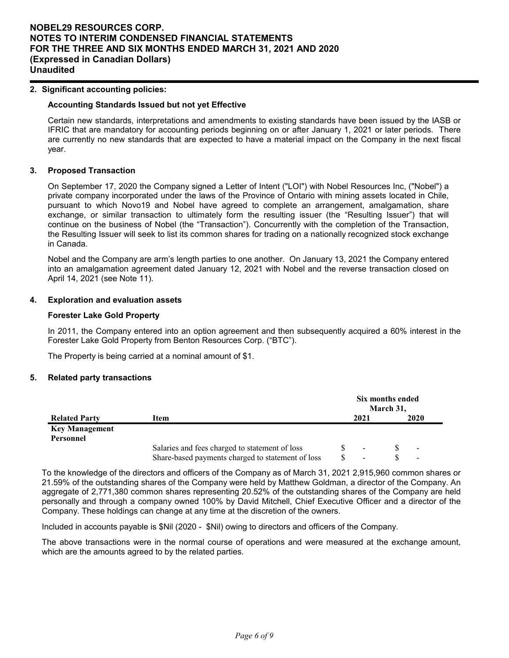#### **2. Significant accounting policies:**

#### **Accounting Standards Issued but not yet Effective**

Certain new standards, interpretations and amendments to existing standards have been issued by the IASB or IFRIC that are mandatory for accounting periods beginning on or after January 1, 2021 or later periods. There are currently no new standards that are expected to have a material impact on the Company in the next fiscal year.

#### **3. Proposed Transaction**

On September 17, 2020 the Company signed a Letter of Intent ("LOI") with Nobel Resources Inc, ("Nobel") a private company incorporated under the laws of the Province of Ontario with mining assets located in Chile, pursuant to which Novo19 and Nobel have agreed to complete an arrangement, amalgamation, share exchange, or similar transaction to ultimately form the resulting issuer (the "Resulting Issuer") that will continue on the business of Nobel (the "Transaction"). Concurrently with the completion of the Transaction, the Resulting Issuer will seek to list its common shares for trading on a nationally recognized stock exchange in Canada.

Nobel and the Company are arm's length parties to one another. On January 13, 2021 the Company entered into an amalgamation agreement dated January 12, 2021 with Nobel and the reverse transaction closed on April 14, 2021 (see Note 11).

#### **4. Exploration and evaluation assets**

#### **Forester Lake Gold Property**

In 2011, the Company entered into an option agreement and then subsequently acquired a 60% interest in the Forester Lake Gold Property from Benton Resources Corp. ("BTC").

The Property is being carried at a nominal amount of \$1.

### **5. Related party transactions**

|                                    |                                                   | Six months ended<br>March 31, |      |  |                          |  |
|------------------------------------|---------------------------------------------------|-------------------------------|------|--|--------------------------|--|
| <b>Related Party</b>               | Item                                              |                               | 2021 |  | 2020                     |  |
| <b>Key Management</b><br>Personnel |                                                   |                               |      |  |                          |  |
|                                    | Salaries and fees charged to statement of loss    |                               |      |  | $\sim$                   |  |
|                                    | Share-based payments charged to statement of loss |                               | -    |  | $\overline{\phantom{a}}$ |  |

To the knowledge of the directors and officers of the Company as of March 31, 2021 2,915,960 common shares or 21.59% of the outstanding shares of the Company were held by Matthew Goldman, a director of the Company. An aggregate of 2,771,380 common shares representing 20.52% of the outstanding shares of the Company are held personally and through a company owned 100% by David Mitchell, Chief Executive Officer and a director of the Company. These holdings can change at any time at the discretion of the owners.

Included in accounts payable is \$Nil (2020 - \$Nil) owing to directors and officers of the Company.

The above transactions were in the normal course of operations and were measured at the exchange amount, which are the amounts agreed to by the related parties.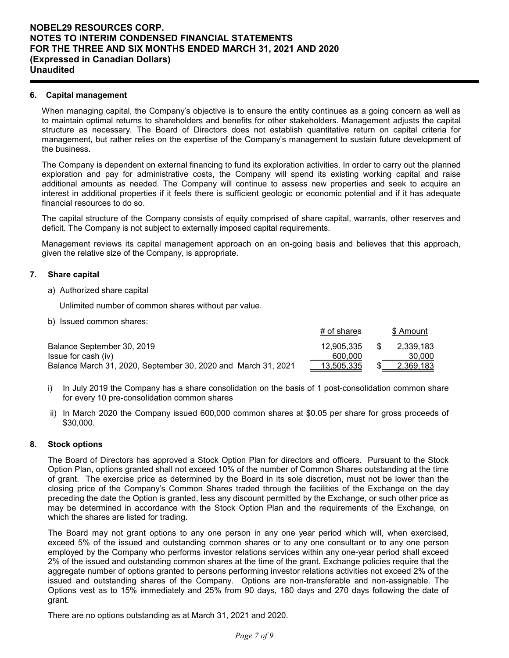#### **6. Capital management**

When managing capital, the Company's objective is to ensure the entity continues as a going concern as well as to maintain optimal returns to shareholders and benefits for other stakeholders. Management adjusts the capital structure as necessary. The Board of Directors does not establish quantitative return on capital criteria for management, but rather relies on the expertise of the Company's management to sustain future development of the business.

The Company is dependent on external financing to fund its exploration activities. In order to carry out the planned exploration and pay for administrative costs, the Company will spend its existing working capital and raise additional amounts as needed. The Company will continue to assess new properties and seek to acquire an interest in additional properties if it feels there is sufficient geologic or economic potential and if it has adequate financial resources to do so.

The capital structure of the Company consists of equity comprised of share capital, warrants, other reserves and deficit. The Company is not subject to externally imposed capital requirements.

Management reviews its capital management approach on an on-going basis and believes that this approach, given the relative size of the Company, is appropriate.

#### **7. Share capital**

a) Authorized share capital

Unlimited number of common shares without par value.

b) Issued common shares:

|                                                               | # of shares | \$ Amount |
|---------------------------------------------------------------|-------------|-----------|
| Balance September 30, 2019                                    | 12.905.335  | 2.339.183 |
| Issue for cash (iv)                                           | 600.000     | 30.000    |
| Balance March 31, 2020, September 30, 2020 and March 31, 2021 | 13,505,335  | 2,369,183 |

- i) In July 2019 the Company has a share consolidation on the basis of 1 post-consolidation common share for every 10 pre-consolidation common shares
- ii) In March 2020 the Company issued 600,000 common shares at \$0.05 per share for gross proceeds of \$30,000.

### **8. Stock options**

The Board of Directors has approved a Stock Option Plan for directors and officers. Pursuant to the Stock Option Plan, options granted shall not exceed 10% of the number of Common Shares outstanding at the time of grant. The exercise price as determined by the Board in its sole discretion, must not be lower than the closing price of the Company's Common Shares traded through the facilities of the Exchange on the day preceding the date the Option is granted, less any discount permitted by the Exchange, or such other price as may be determined in accordance with the Stock Option Plan and the requirements of the Exchange, on which the shares are listed for trading.

The Board may not grant options to any one person in any one year period which will, when exercised, exceed 5% of the issued and outstanding common shares or to any one consultant or to any one person employed by the Company who performs investor relations services within any one-year period shall exceed 2% of the issued and outstanding common shares at the time of the grant. Exchange policies require that the aggregate number of options granted to persons performing investor relations activities not exceed 2% of the issued and outstanding shares of the Company. Options are non-transferable and non-assignable. The Options vest as to 15% immediately and 25% from 90 days, 180 days and 270 days following the date of grant.

There are no options outstanding as at March 31, 2021 and 2020.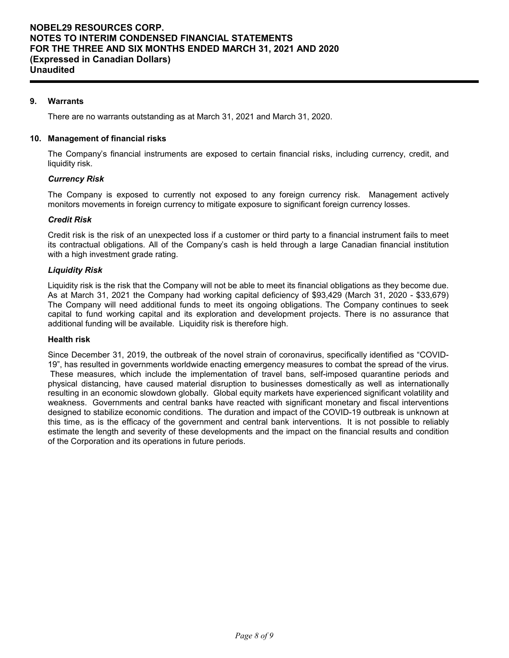## **9. Warrants**

There are no warrants outstanding as at March 31, 2021 and March 31, 2020.

### **10. Management of financial risks**

The Company's financial instruments are exposed to certain financial risks, including currency, credit, and liquidity risk.

### *Currency Risk*

The Company is exposed to currently not exposed to any foreign currency risk. Management actively monitors movements in foreign currency to mitigate exposure to significant foreign currency losses.

## *Credit Risk*

Credit risk is the risk of an unexpected loss if a customer or third party to a financial instrument fails to meet its contractual obligations. All of the Company's cash is held through a large Canadian financial institution with a high investment grade rating.

## *Liquidity Risk*

Liquidity risk is the risk that the Company will not be able to meet its financial obligations as they become due. As at March 31, 2021 the Company had working capital deficiency of \$93,429 (March 31, 2020 - \$33,679) The Company will need additional funds to meet its ongoing obligations. The Company continues to seek capital to fund working capital and its exploration and development projects. There is no assurance that additional funding will be available. Liquidity risk is therefore high.

## **Health risk**

Since December 31, 2019, the outbreak of the novel strain of coronavirus, specifically identified as "COVID-19", has resulted in governments worldwide enacting emergency measures to combat the spread of the virus. These measures, which include the implementation of travel bans, self-imposed quarantine periods and physical distancing, have caused material disruption to businesses domestically as well as internationally resulting in an economic slowdown globally. Global equity markets have experienced significant volatility and weakness. Governments and central banks have reacted with significant monetary and fiscal interventions designed to stabilize economic conditions. The duration and impact of the COVID-19 outbreak is unknown at this time, as is the efficacy of the government and central bank interventions. It is not possible to reliably estimate the length and severity of these developments and the impact on the financial results and condition of the Corporation and its operations in future periods.